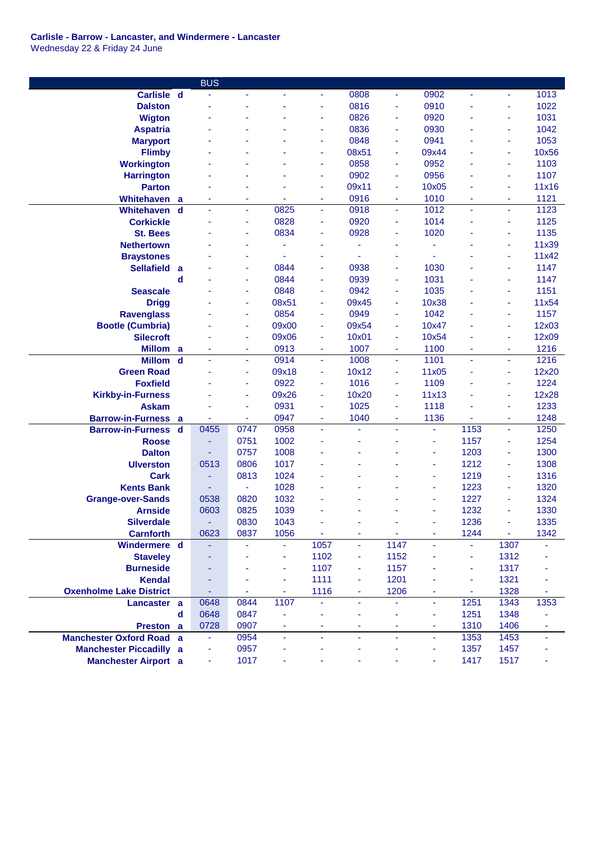## **Carlisle - Barrow - Lancaster, and Windermere - Lancaster** Wednesday 22 & Friday 24 June

|                                              |                  | <b>BUS</b>   |                          |       |                |        |                |         |                |         |              |
|----------------------------------------------|------------------|--------------|--------------------------|-------|----------------|--------|----------------|---------|----------------|---------|--------------|
| Carlisle d                                   |                  |              |                          |       | ٠              | 0808   | $\blacksquare$ | 0902    |                | ٠       | 1013         |
| <b>Dalston</b>                               |                  |              |                          |       |                | 0816   | ÷,             | 0910    |                | ä,      | 1022         |
| <b>Wigton</b>                                |                  |              |                          |       | ٠              | 0826   | ä,             | 0920    |                | ä,      | 1031         |
| <b>Aspatria</b>                              |                  |              |                          |       | ÷              | 0836   | ä,             | 0930    |                | ä,      | 1042         |
| <b>Maryport</b>                              |                  |              |                          |       | ٠              | 0848   | ä,             | 0941    |                | ÷       | 1053         |
| <b>Flimby</b>                                |                  |              |                          |       | ÷              | 08x51  | ä,             | 09x44   |                | ä,      | 10x56        |
| <b>Workington</b>                            |                  |              |                          |       | ÷              | 0858   | ä,             | 0952    |                | ä,      | 1103         |
| <b>Harrington</b>                            |                  |              |                          |       | ÷              | 0902   | ä,             | 0956    |                | ÷       | 1107         |
| <b>Parton</b>                                |                  |              |                          |       | ÷              | 09x11  | $\omega$       | 10x05   |                | ÷       | 11x16        |
| Whitehaven                                   | a                | ۰            | ٠                        |       | ٠              | 0916   | ÷              | 1010    | ٠              | ۰       | 1121         |
| <b>Whitehaven</b>                            | $\mathbf d$      | ä,           | $\overline{\phantom{a}}$ | 0825  | ä,             | 0918   | Ξ              | 1012    | $\blacksquare$ | ٠       | 1123         |
| <b>Corkickle</b>                             |                  |              | ÷,                       | 0828  | ä,             | 0920   | ä,             | 1014    |                | ä,      | 1125         |
| <b>St. Bees</b>                              |                  |              | ÷                        | 0834  | ÷              | 0928   |                | 1020    |                | ä,      | 1135         |
| <b>Nethertown</b>                            |                  |              |                          |       |                |        |                | ä       |                | ä,      | 11x39        |
| <b>Braystones</b>                            |                  |              | ÷                        |       | ٠              |        |                | ä,      |                | ä,      | 11x42        |
| <b>Sellafield</b>                            | a                |              | $\overline{\phantom{a}}$ | 0844  | ٠              | 0938   | ä,             | 1030    |                | ä,      | 1147         |
|                                              | d                |              | $\overline{\phantom{a}}$ | 0844  | ä,             | 0939   | ä,             | 1031    |                | ä,      | 1147         |
| <b>Seascale</b>                              |                  |              | $\overline{\phantom{a}}$ | 0848  | ÷              | 0942   | ä,             | 1035    |                | ä,      | 1151         |
| <b>Drigg</b>                                 |                  |              | $\overline{\phantom{a}}$ | 08x51 | ä,             | 09x45  | ä,             | 10x38   |                | Ξ       | 11x54        |
| <b>Ravenglass</b>                            |                  |              | ÷                        | 0854  | Ξ              | 0949   | ä,             | 1042    |                | ٠       | 1157         |
| <b>Bootle (Cumbria)</b>                      |                  |              | ٠                        | 09x00 | ä,             | 09x54  | ÷,             | 10x47   |                | Ξ       | 12x03        |
| <b>Silecroft</b>                             |                  |              | $\overline{\phantom{a}}$ | 09x06 | Ξ              | 10x01  | ä,             | 10x54   |                | Ξ       | 12x09        |
| <b>Millom</b>                                |                  |              | ÷                        | 0913  | ٠              | 1007   |                | 1100    |                |         | 1216         |
| <b>Millom</b>                                | a<br>$\mathbf d$ |              | ÷                        | 0914  | ä,             | 1008   | ٠<br>ä,        | 1101    |                | ۰<br>ä, | 1216         |
| <b>Green Road</b>                            |                  |              | ÷                        | 09x18 | ä,             | 10x12  | ä,             | 11x05   |                | ä,      | 12x20        |
| <b>Foxfield</b>                              |                  |              | ÷                        | 0922  | ÷              | 1016   | ÷              | 1109    |                | ä,      | 1224         |
|                                              |                  |              | ٠                        | 09x26 | ٠              | 10x20  | $\blacksquare$ | 11x13   |                | ä,      | 12x28        |
| <b>Kirkby-in-Furness</b>                     |                  |              | $\sim$                   | 0931  | ٠              | 1025   | $\blacksquare$ | 1118    |                | ٠       | 1233         |
| <b>Askam</b><br><b>Barrow-in-Furness</b>     |                  |              |                          | 0947  |                | 1040   |                | 1136    |                |         | 1248         |
|                                              | a                | 0455         | ÷<br>0747                | 0958  | ÷<br>ä,        | ä,     | ÷<br>÷.        | ä,      | 1153           | Ξ<br>ä, | 1250         |
| <b>Barrow-in-Furness</b>                     | d                |              | 0751                     | 1002  |                |        |                | ä,      | 1157           | ٠       | 1254         |
| <b>Roose</b>                                 |                  |              |                          | 1008  |                |        |                |         |                |         |              |
| <b>Dalton</b>                                |                  |              | 0757                     | 1017  |                |        |                | ÷       | 1203           | ä,      | 1300         |
| <b>Ulverston</b><br><b>Cark</b>              |                  | 0513         | 0806<br>0813             | 1024  |                |        |                | ÷<br>ä, | 1212<br>1219   | ä,<br>٠ | 1308<br>1316 |
| <b>Kents Bank</b>                            |                  | ۰            |                          | 1028  |                |        |                | ÷       | 1223           | ä,      | 1320         |
|                                              |                  |              | ÷<br>0820                | 1032  |                |        |                |         | 1227           |         | 1324         |
| <b>Grange-over-Sands</b><br><b>Arnside</b>   |                  | 0538<br>0603 | 0825                     | 1039  |                |        |                | ÷       | 1232           | ä,      | 1330         |
| <b>Silverdale</b>                            |                  |              | 0830                     | 1043  |                |        |                |         | 1236           |         | 1335         |
| <b>Carnforth</b>                             |                  | 0623         | 0837                     | 1056  | Ξ              | ٠      | Ξ              | ÷       | 1244           | ÷,      | 1342         |
| Windermere d                                 |                  |              |                          |       | 1057           | ä,     | 1147           |         |                | 1307    |              |
| <b>Staveley</b>                              |                  |              |                          | ä,    | 1102           | ٠      | 1152           |         | ä,             | 1312    |              |
| <b>Burneside</b>                             |                  |              |                          | ÷     | 1107           | ٠      | 1157           |         | ä,             | 1317    |              |
| <b>Kendal</b>                                |                  |              |                          | ÷     | 1111           |        | 1201           |         | Ξ              | 1321    |              |
| <b>Oxenholme Lake District</b>               |                  | ٠            | ä,                       | Ξ     | 1116           | ٠<br>÷ | 1206           |         | $\blacksquare$ | 1328    |              |
|                                              |                  | 0648         | 0844                     | 1107  | ÷,             | ÷,     | ä,             | ä,      | 1251           | 1343    | 1353         |
| Lancaster a                                  |                  | 0648         | 0847                     |       |                |        |                |         | 1251           | 1348    |              |
|                                              | $\mathbf d$      | 0728         | 0907                     |       |                |        |                | ÷       | 1310           | 1406    |              |
| Preston a<br><b>Manchester Oxford Road a</b> |                  |              | 0954                     | ٠     | ٠              | ٠      | ٠              | ÷       | 1353           | 1453    | ٠            |
| <b>Manchester Piccadilly a</b>               |                  | ÷            | 0957                     | ٠     | $\blacksquare$ | ٠      | $\blacksquare$ | Ξ<br>÷  | 1357           | 1457    |              |
| <b>Manchester Airport</b> a                  |                  |              | 1017                     |       |                |        |                |         | 1417           | 1517    |              |
|                                              |                  | Ξ            |                          |       |                |        |                |         |                |         |              |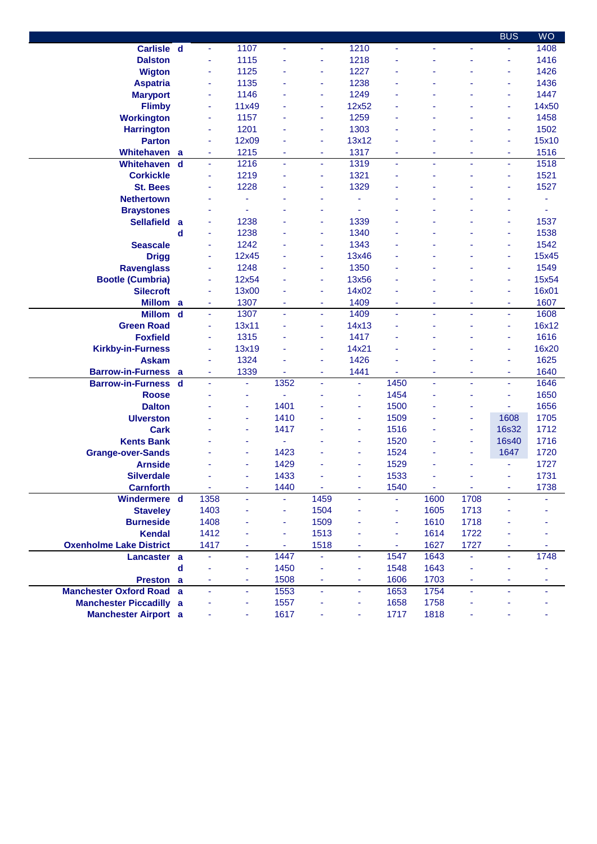|                                          |                  |                |                          |              |                |                |                |          |                  | <b>BUS</b>                                 | <b>WO</b>    |
|------------------------------------------|------------------|----------------|--------------------------|--------------|----------------|----------------|----------------|----------|------------------|--------------------------------------------|--------------|
| Carlisle d                               |                  | $\blacksquare$ | 1107                     | ÷            | $\blacksquare$ | 1210           | $\blacksquare$ | ä,       | ÷                | ÷                                          | 1408         |
| <b>Dalston</b>                           |                  | ä,             | 1115                     |              | ä,             | 1218           |                |          |                  | ä,                                         | 1416         |
| <b>Wigton</b>                            |                  | ä,             | 1125                     |              | ä,             | 1227           |                |          |                  | ٠                                          | 1426         |
| <b>Aspatria</b>                          |                  | ä,             | 1135                     |              | ä,             | 1238           |                |          |                  | ٠                                          | 1436         |
| <b>Maryport</b>                          |                  | ÷              | 1146                     |              | ä,             | 1249           |                |          |                  | ٠                                          | 1447         |
| <b>Flimby</b>                            |                  | ÷              | 11x49                    |              | ä,             | 12x52          |                |          |                  | ÷                                          | 14x50        |
| <b>Workington</b>                        |                  | ÷              | 1157                     |              | ä,             | 1259           |                |          |                  | ٠                                          | 1458         |
| <b>Harrington</b>                        |                  | ÷              | 1201                     |              | ٠              | 1303           |                |          |                  | ٠                                          | 1502         |
| <b>Parton</b>                            |                  | ÷              | 12x09                    |              | ٠              | 13x12          |                |          |                  | ٠                                          | 15x10        |
| Whitehaven                               | a                | ٠              | 1215                     | ٠            | $\blacksquare$ | 1317           | ٠              | ٠        | ٠                | $\sim$                                     | 1516         |
| Whitehaven                               | $\mathbf d$      | ä,             | 1216                     | ÷            | ä,             | 1319           | ä,             | ä,       | ä,               | ÷,                                         | 1518         |
| <b>Corkickle</b>                         |                  | ä,             | 1219                     |              | ä,             | 1321           |                | ä        |                  | ÷                                          | 1521         |
| <b>St. Bees</b>                          |                  | ä,             | 1228                     |              | ä              | 1329           |                |          |                  | ٠                                          | 1527         |
| <b>Nethertown</b>                        |                  | ä,             | ٠                        |              | ä              | ä              |                |          |                  |                                            | ä,           |
| <b>Braystones</b>                        |                  | ä,             | ä,                       |              | ٠              | ä,             |                |          |                  | ä                                          | ä,           |
| <b>Sellafield</b>                        | a                | ä,             | 1238                     |              | ä,             | 1339           |                |          |                  | ٠                                          | 1537         |
|                                          | d                | ä,             | 1238                     |              | ٠              | 1340           |                |          |                  | $\blacksquare$                             | 1538         |
| <b>Seascale</b>                          |                  | ä,             | 1242                     |              | ä,             | 1343           |                |          |                  | ÷                                          | 1542         |
| <b>Drigg</b>                             |                  | ٠              | 12x45                    |              | ٠              | 13x46          |                |          |                  | $\blacksquare$                             | 15x45        |
| <b>Ravenglass</b>                        |                  | ä,             | 1248                     |              | ä              | 1350           |                |          |                  | ٠                                          | 1549         |
| <b>Bootle (Cumbria)</b>                  |                  | ÷              | 12x54                    |              | ٠              | 13x56          |                |          |                  |                                            | 15x54        |
| <b>Silecroft</b>                         |                  | ÷              | 13x00                    |              | ä              | 14x02          |                |          |                  | ٠                                          | 16x01        |
| <b>Millom</b>                            |                  | ÷              | 1307                     | ÷            | ä              | 1409           | ä,             | ٠        | ٠                | ä,                                         | 1607         |
| <b>Millom</b>                            | a<br>$\mathbf d$ | ä,             | 1307                     |              | ä,             | 1409           | ä,             | ä,       |                  | $\blacksquare$                             | 1608         |
| <b>Green Road</b>                        |                  | ä,             | 13x11                    |              | ä,             | 14x13          |                |          |                  | ٠                                          | 16x12        |
| <b>Foxfield</b>                          |                  | ä,             | 1315                     |              | ÷              | 1417           |                |          |                  | ä,                                         | 1616         |
|                                          |                  | ä,             | 13x19                    |              | ä,             | 14x21          |                |          |                  | ä,                                         | 16x20        |
| <b>Kirkby-in-Furness</b><br><b>Askam</b> |                  | ä,             | 1324                     |              |                | 1426           |                |          |                  | ٠                                          | 1625         |
|                                          |                  |                |                          |              | ä,             |                |                |          |                  |                                            |              |
| <b>Barrow-in-Furness</b>                 | a<br>$\mathbf d$ | ÷<br>ä,        | 1339<br>$\blacksquare$   | ٠<br>1352    | ٠<br>ä,        | 1441<br>ä,     | ä,<br>1450     | ä,<br>ä, | ٠<br>ä,          | $\overline{\phantom{a}}$<br>$\blacksquare$ | 1640<br>1646 |
| <b>Barrow-in-Furness</b>                 |                  |                |                          |              |                |                | 1454           |          |                  |                                            | 1650         |
| <b>Roose</b>                             |                  |                | ÷                        | 1401         |                | ä,             | 1500           |          |                  | ÷                                          | 1656         |
| <b>Dalton</b>                            |                  |                | $\overline{\phantom{a}}$ |              |                | ٠              |                |          | ٠                | ÷                                          |              |
| <b>Ulverston</b>                         |                  |                | ä,                       | 1410<br>1417 |                | ä,             | 1509           |          | ÷                | 1608                                       | 1705<br>1712 |
| <b>Cark</b>                              |                  |                | $\blacksquare$           | ÷.           |                | ä,             | 1516           |          | $\blacksquare$   | <b>16s32</b>                               |              |
| <b>Kents Bank</b>                        |                  |                | ٠                        |              |                | ÷              | 1520<br>1524   |          | $\blacksquare$   | 16s40                                      | 1716         |
| <b>Grange-over-Sands</b>                 |                  |                | $\sim$                   | 1423         |                | ٠              |                |          | ÷                | 1647                                       | 1720         |
| <b>Arnside</b>                           |                  |                | ÷                        | 1429         |                | ä,             | 1529<br>1533   |          | ÷                |                                            | 1727<br>1731 |
| <b>Silverdale</b>                        |                  |                | ٠                        | 1433         |                | ä,             |                |          |                  | ä,                                         |              |
| <b>Carnforth</b><br>Windermere d         |                  | $\blacksquare$ | ä,                       | 1440         | ä,             | ÷,             | 1540<br>÷.     | ä,       | $\omega$<br>1708 | $\blacksquare$<br>ä,                       | 1738         |
|                                          |                  | 1358<br>1403   |                          | ÷.           | 1459<br>1504   | ÷.             |                | 1600     | 1713             |                                            |              |
| <b>Staveley</b><br><b>Burneside</b>      |                  |                | $\blacksquare$           | Ξ            |                | ۰              | ä,             | 1605     |                  |                                            |              |
|                                          |                  | 1408           |                          | Ξ            | 1509           |                | ä,             | 1610     | 1718             |                                            |              |
| <b>Kendal</b>                            |                  | 1412           |                          | Ξ            | 1513           |                | ä,             | 1614     | 1722             |                                            |              |
| <b>Oxenholme Lake District</b>           |                  | 1417           | ۰                        | ٠            | 1518           | ٠              | ٠              | 1627     | 1727             | ٠                                          |              |
| Lancaster a                              |                  | Ξ              | $\blacksquare$           | 1447         | Ξ              | Ξ              | 1547           | 1643     |                  | $\blacksquare$                             | 1748         |
|                                          | $\mathbf d$      |                | ÷                        | 1450         |                | ä,             | 1548           | 1643     |                  |                                            |              |
| Preston a                                |                  | ÷              | ÷                        | 1508         | ä,             | ÷              | 1606           | 1703     | ÷                | $\blacksquare$                             |              |
| <b>Manchester Oxford Road</b>            | a                | ä,             | $\blacksquare$           | 1553         | ä,             | $\blacksquare$ | 1653           | 1754     | $\blacksquare$   |                                            |              |
| <b>Manchester Piccadilly a</b>           |                  |                | $\overline{\phantom{a}}$ | 1557         | ٠              | ٠              | 1658           | 1758     | ÷                |                                            |              |
| <b>Manchester Airport</b> a              |                  | ä,             | ÷                        | 1617         | ä,             | ÷              | 1717           | 1818     | ÷                |                                            |              |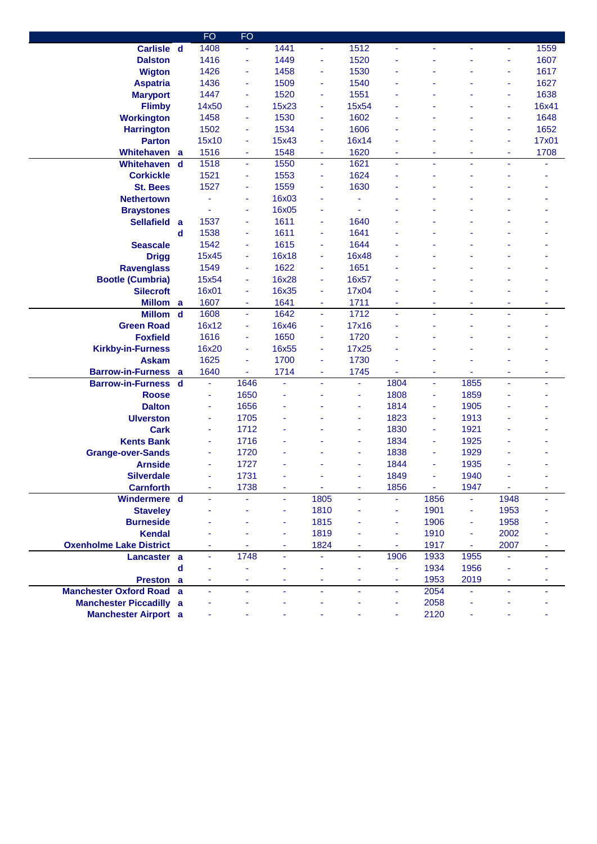|                                 |             | <b>FO</b>      | <b>FO</b> |       |                |                |                |      |                          |      |       |
|---------------------------------|-------------|----------------|-----------|-------|----------------|----------------|----------------|------|--------------------------|------|-------|
| Carlisle d                      |             | 1408           | ÷         | 1441  | ٠              | 1512           | ä,             |      |                          | ÷.   | 1559  |
| <b>Dalston</b>                  |             | 1416           | ä,        | 1449  | ä,             | 1520           |                |      |                          | ä,   | 1607  |
| <b>Wigton</b>                   |             | 1426           | ÷         | 1458  | ٠              | 1530           |                |      |                          | ä    | 1617  |
| <b>Aspatria</b>                 |             | 1436           | ÷         | 1509  | ä,             | 1540           |                |      |                          | ä,   | 1627  |
| <b>Maryport</b>                 |             | 1447           | ٠         | 1520  | ٠              | 1551           |                |      |                          | ٠    | 1638  |
| <b>Flimby</b>                   |             | 14x50          | ٠         | 15x23 | ٠              | 15x54          |                |      |                          | ä    | 16x41 |
| <b>Workington</b>               |             | 1458           | ٠         | 1530  | ÷              | 1602           |                |      |                          | ä,   | 1648  |
| <b>Harrington</b>               |             | 1502           | ÷         | 1534  | ä,             | 1606           |                |      |                          | ٠    | 1652  |
| <b>Parton</b>                   |             | 15x10          | ÷         | 15x43 | ä,             | 16x14          |                |      |                          | ٠    | 17x01 |
| Whitehaven                      | a           | 1516           | ÷         | 1548  | ä,             | 1620           |                | ٠    | ٠                        | ÷    | 1708  |
| Whitehaven                      | $\mathbf d$ | 1518           | ÷         | 1550  | ٠              | 1621           | ÷.             | ä,   | $\blacksquare$           |      | ٠     |
| <b>Corkickle</b>                |             | 1521           | ٠         | 1553  | ä,             | 1624           |                |      |                          |      |       |
| <b>St. Bees</b>                 |             | 1527           | ÷         | 1559  | ä,             | 1630           |                |      |                          |      |       |
| <b>Nethertown</b>               |             |                | ٠         | 16x03 | ٠              |                |                |      |                          |      |       |
| <b>Braystones</b>               |             |                | ÷         | 16x05 | ÷              |                |                |      |                          |      |       |
| <b>Sellafield</b>               | a           | 1537           | ÷         | 1611  | ä,             | 1640           |                |      |                          |      |       |
|                                 | d           | 1538           |           | 1611  | ä,             | 1641           |                |      |                          |      |       |
| <b>Seascale</b>                 |             |                | ٠         |       |                | 1644           |                |      |                          |      |       |
|                                 |             | 1542           | ٠         | 1615  | ٠              |                |                |      |                          |      |       |
| <b>Drigg</b>                    |             | 15x45          | ÷         | 16x18 | ٠              | 16x48          |                |      |                          |      |       |
| <b>Ravenglass</b>               |             | 1549           | ٠         | 1622  | Ξ              | 1651           |                |      |                          |      |       |
| <b>Bootle (Cumbria)</b>         |             | 15x54          | ÷         | 16x28 | Ξ              | 16x57          |                |      |                          |      |       |
| <b>Silecroft</b>                |             | 16x01          | ÷         | 16x35 | ä,             | 17x04          |                |      |                          |      |       |
| Millom a                        |             | 1607           | ÷         | 1641  | Ξ              | 1711           |                |      |                          |      |       |
| <b>Millom</b>                   | $\mathbf d$ | 1608           | ٠         | 1642  | ٠              | 1712           |                |      |                          |      | ٠     |
| <b>Green Road</b>               |             | 16x12          | ٠         | 16x46 | ä,             | 17x16          |                |      |                          |      |       |
| <b>Foxfield</b>                 |             | 1616           | ÷         | 1650  | ä,             | 1720           |                |      |                          |      |       |
| <b>Kirkby-in-Furness</b>        |             | 16x20          | ÷         | 16x55 | ٠              | 17x25          |                |      |                          |      |       |
| <b>Askam</b>                    |             | 1625           | ÷         | 1700  | ٠              | 1730           |                |      |                          |      |       |
| <b>Barrow-in-Furness</b>        | a           | 1640           | ÷         | 1714  | ä,             | 1745           |                | ä,   |                          | ä,   |       |
| <b>Barrow-in-Furness</b>        | d           | ä,             | 1646      | ÷,    | ÷.             | ٠              | 1804           | ä,   | 1855                     | ä,   | ٠     |
| <b>Roose</b>                    |             | ÷              | 1650      |       |                | ٠              | 1808           | ۰    | 1859                     |      |       |
| <b>Dalton</b>                   |             | ÷              | 1656      |       |                | ٠              | 1814           | ۰    | 1905                     |      |       |
| <b>Ulverston</b>                |             | ÷              | 1705      |       |                | ÷              | 1823           | ۰    | 1913                     |      |       |
| Cark                            |             | ÷              | 1712      |       |                | ۰              | 1830           | ۰    | 1921                     |      |       |
| <b>Kents Bank</b>               |             | ÷              | 1716      |       |                | ä,             | 1834           | ۰    | 1925                     |      |       |
| <b>Grange-over-Sands</b>        |             | ÷              | 1720      |       |                |                | 1838           | ä,   | 1929                     |      |       |
| <b>Arnside</b>                  |             | ÷              | 1727      |       |                |                | 1844           | ÷    | 1935                     |      |       |
| <b>Silverdale</b>               |             |                | 1731      |       |                | ä,             | 1849           | ä,   | 1940                     |      |       |
| <b>Carnforth</b>                |             | ٠              | 1738      | ٠     | ÷              | ٠              | 1856           | ä,   | 1947                     | ÷    | ٠     |
| Windermere d                    |             |                |           | ٠     | 1805           | ٠              | ÷.             | 1856 |                          | 1948 |       |
| <b>Staveley</b>                 |             |                |           | ä,    | 1810           |                | ä,             | 1901 | ÷                        | 1953 |       |
| <b>Burneside</b>                |             |                |           | ٠     | 1815           |                | ä,             | 1906 | Ξ                        | 1958 |       |
| <b>Kendal</b>                   |             |                |           | ٠     | 1819           |                | ä,             | 1910 | Ξ                        | 2002 |       |
| <b>Oxenholme Lake District</b>  |             | ٠              |           | ٠     | 1824           | ٠              | $\blacksquare$ | 1917 | $\blacksquare$           | 2007 | ۰     |
| Lancaster a                     |             | $\blacksquare$ | 1748      | ٠     | ÷              | $\omega$       | 1906           | 1933 | 1955                     | ä,   |       |
|                                 | $\mathbf d$ |                | ÷         |       | ä,             | ÷              | $\blacksquare$ | 1934 | 1956                     |      |       |
| Preston a                       |             | ÷              | ÷         | ۰     | ٠              | ÷              | $\blacksquare$ | 1953 | 2019                     | ۳    |       |
| <b>Manchester Oxford Road a</b> |             | ä,             | ä,        | ÷     | $\blacksquare$ | $\blacksquare$ | $\blacksquare$ | 2054 | $\overline{\phantom{a}}$ | ä,   |       |
| <b>Manchester Piccadilly</b>    | a           |                |           |       | ä,             |                | $\blacksquare$ | 2058 |                          |      |       |
| <b>Manchester Airport</b> a     |             |                |           |       |                |                |                | 2120 |                          |      |       |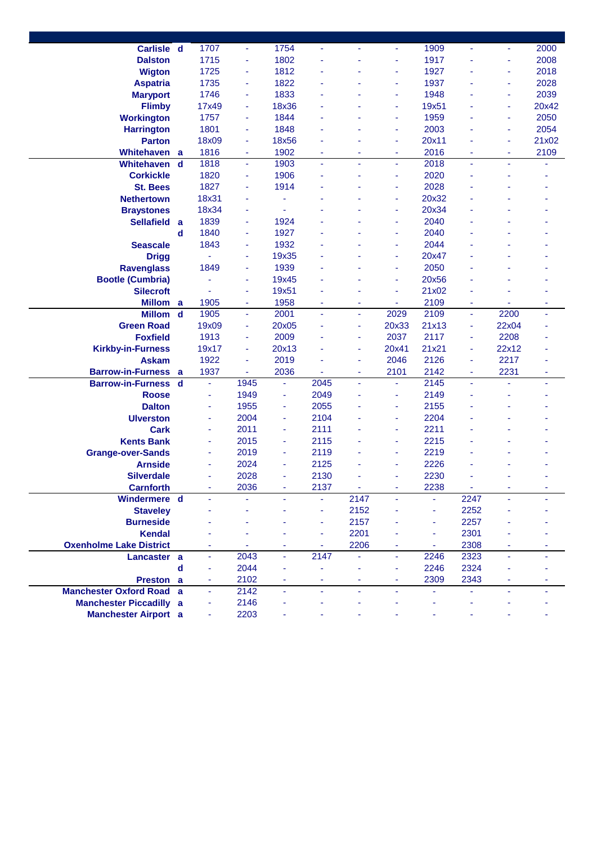| Carlisle d                      |             | 1707           | ÷                        | 1754         | ÷      |        | $\overline{\phantom{a}}$ | 1909         | $\overline{\phantom{a}}$ | ÷      | 2000  |
|---------------------------------|-------------|----------------|--------------------------|--------------|--------|--------|--------------------------|--------------|--------------------------|--------|-------|
| <b>Dalston</b>                  |             | 1715           | ٠                        | 1802         |        |        | ٠                        | 1917         |                          | ä,     | 2008  |
| <b>Wigton</b>                   |             | 1725           | ٠                        | 1812         |        |        | $\overline{\phantom{a}}$ | 1927         |                          | ä      | 2018  |
| <b>Aspatria</b>                 |             | 1735           | ٠                        | 1822         |        |        | ä,                       | 1937         |                          | ٠      | 2028  |
| <b>Maryport</b>                 |             | 1746           | ٠                        | 1833         |        |        | $\overline{\phantom{a}}$ | 1948         |                          | ä,     | 2039  |
| <b>Flimby</b>                   |             | 17x49          | $\overline{\phantom{a}}$ | 18x36        |        |        | ä,                       | 19x51        |                          | ä,     | 20x42 |
| <b>Workington</b>               |             | 1757           | ٠                        | 1844         |        |        | ٠                        | 1959         |                          | ٠      | 2050  |
| <b>Harrington</b>               |             | 1801           | ٠                        | 1848         |        |        | ٠                        | 2003         |                          | ä      | 2054  |
| <b>Parton</b>                   |             | 18x09          | $\overline{\phantom{a}}$ | 18x56        |        |        | ä,                       | 20x11        |                          | ä      | 21x02 |
|                                 |             |                |                          |              |        |        |                          |              |                          |        |       |
| Whitehaven                      | a           | 1816<br>1818   | ٠                        | 1902<br>1903 | ۰<br>٠ | ۰<br>٠ | ٠                        | 2016<br>2018 | ٠                        | ٠<br>ä | 2109  |
| <b>Whitehaven</b>               | d           |                | ÷                        |              |        |        | ÷                        |              | ٠                        |        |       |
| <b>Corkickle</b>                |             | 1820           | ÷                        | 1906         |        |        | ä,                       | 2020         |                          |        |       |
| <b>St. Bees</b>                 |             | 1827           | ×                        | 1914         |        |        |                          | 2028         |                          |        |       |
| <b>Nethertown</b>               |             | 18x31          | ÷                        |              |        |        | ä,                       | 20x32        |                          |        |       |
| <b>Braystones</b>               |             | 18x34          | $\blacksquare$           |              |        |        | ä,                       | 20x34        |                          |        |       |
| <b>Sellafield</b>               | a           | 1839           | ٠                        | 1924         |        |        |                          | 2040         |                          |        |       |
|                                 | d           | 1840           | $\overline{\phantom{a}}$ | 1927         |        |        | ٠                        | 2040         |                          |        |       |
| <b>Seascale</b>                 |             | 1843           | ٠                        | 1932         |        |        | ٠                        | 2044         |                          |        |       |
| <b>Drigg</b>                    |             |                | ÷                        | 19x35        |        |        | ä,                       | 20x47        |                          |        |       |
| <b>Ravenglass</b>               |             | 1849           | ÷                        | 1939         |        |        | ÷                        | 2050         |                          |        |       |
| <b>Bootle (Cumbria)</b>         |             |                | ٠                        | 19x45        |        |        | ٠                        | 20x56        |                          |        |       |
| <b>Silecroft</b>                |             |                | ÷                        | 19x51        |        |        | ä,                       | 21x02        |                          |        |       |
| <b>Millom</b>                   | a           | 1905           | ٠                        | 1958         | ٠      | ۰      | ٠                        | 2109         | ٠                        |        | ٠     |
| <b>Millom</b>                   | $\mathbf d$ | 1905           | $\blacksquare$           | 2001         | ä,     | ÷      | 2029                     | 2109         | Ξ                        | 2200   | ٠     |
| <b>Green Road</b>               |             | 19x09          | ÷                        | 20x05        |        | ٠      | 20x33                    | 21x13        | ٠                        | 22x04  |       |
| <b>Foxfield</b>                 |             | 1913           | ٠                        | 2009         |        | ٠      | 2037                     | 2117         | ÷                        | 2208   |       |
| <b>Kirkby-in-Furness</b>        |             | 19x17          | ٠                        | 20x13        |        | ۰      | 20x41                    | 21x21        | ٠                        | 22x12  |       |
| <b>Askam</b>                    |             | 1922           | $\blacksquare$           | 2019         |        | ٠      | 2046                     | 2126         | ٠                        | 2217   |       |
| <b>Barrow-in-Furness</b>        | a           | 1937           | ٠                        | 2036         | ÷      | ٠      | 2101                     | 2142         | ٠                        | 2231   | ٠     |
| <b>Barrow-in-Furness</b>        | d           | $\blacksquare$ | 1945                     |              | 2045   | ٠      | ÷                        | 2145         | ٠                        | ä,     | ٠     |
| <b>Roose</b>                    |             | ä,             | 1949                     | ٠            | 2049   |        | ٠                        | 2149         |                          |        |       |
| <b>Dalton</b>                   |             | ٠              | 1955                     |              | 2055   |        | ÷                        | 2155         |                          |        |       |
| <b>Ulverston</b>                |             | ÷              | 2004                     |              | 2104   |        | ÷                        | 2204         |                          |        |       |
| <b>Cark</b>                     |             | ÷              | 2011                     | ٠            | 2111   |        | ٠                        | 2211         |                          |        |       |
| <b>Kents Bank</b>               |             | ÷              | 2015                     | ٠            | 2115   |        | ÷                        | 2215         |                          |        |       |
| <b>Grange-over-Sands</b>        |             | ÷              | 2019                     |              | 2119   |        | ÷                        | 2219         |                          |        |       |
| <b>Arnside</b>                  |             | ÷              | 2024                     |              | 2125   |        | ٠                        | 2226         |                          |        |       |
| <b>Silverdale</b>               |             |                | 2028                     |              | 2130   |        |                          | 2230         |                          |        |       |
| <b>Carnforth</b>                |             |                | 2036                     |              | 2137   |        |                          | 2238         | ٠                        |        |       |
| Windermere d                    |             |                |                          |              |        | 2147   |                          |              | 2247                     |        |       |
| <b>Staveley</b>                 |             |                |                          |              |        | 2152   |                          | ä,           | 2252                     |        |       |
| <b>Burneside</b>                |             |                |                          |              | ٠      | 2157   |                          | ä,           | 2257                     |        |       |
| <b>Kendal</b>                   |             |                |                          |              | ÷.     | 2201   |                          | ä,           | 2301                     |        |       |
| <b>Oxenholme Lake District</b>  |             |                |                          |              | ä,     | 2206   |                          | ٠            | 2308                     |        |       |
|                                 |             | ä              | 2043                     | Ξ            | 2147   |        | ÷.                       | 2246         | 2323                     | ä,     |       |
| Lancaster a                     |             | ä,             | 2044                     |              |        |        | ä,                       | 2246         | 2324                     |        |       |
|                                 | $\mathbf d$ |                |                          |              |        |        |                          |              |                          |        |       |
| Preston a                       |             | ÷              | 2102                     | ٠            | ٠      | ٠      | $\blacksquare$           | 2309         | 2343                     | ۰      |       |
| <b>Manchester Oxford Road a</b> |             | ä,             | 2142                     |              | ٠      | ä,     | ä,                       |              |                          | ä,     |       |
| <b>Manchester Piccadilly a</b>  |             |                | 2146                     |              |        |        |                          |              |                          |        |       |
| <b>Manchester Airport a</b>     |             |                | 2203                     |              |        |        |                          |              |                          |        |       |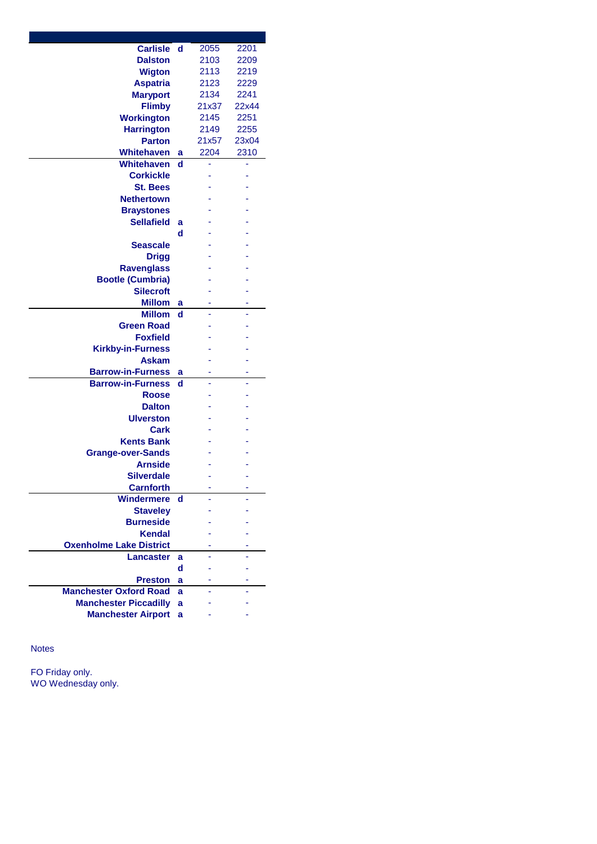| <b>Carlisle</b>                | d | 2055  | 2201  |
|--------------------------------|---|-------|-------|
| <b>Dalston</b>                 |   | 2103  | 2209  |
| <b>Wigton</b>                  |   | 2113  | 2219  |
| <b>Aspatria</b>                |   | 2123  | 2229  |
| <b>Maryport</b>                |   | 2134  | 2241  |
| <b>Flimby</b>                  |   | 21x37 | 22x44 |
| <b>Workington</b>              |   | 2145  | 2251  |
| <b>Harrington</b>              |   | 2149  | 2255  |
| <b>Parton</b>                  |   | 21x57 | 23x04 |
| Whitehaven                     | а | 2204  | 2310  |
| <b>Whitehaven</b>              | d |       |       |
| <b>Corkickle</b>               |   |       |       |
| <b>St. Bees</b>                |   |       |       |
| <b>Nethertown</b>              |   |       |       |
|                                |   |       |       |
| <b>Braystones</b>              |   |       |       |
| <b>Sellafield</b>              | a |       |       |
|                                | d |       |       |
| Seascale                       |   |       |       |
| <b>Drigg</b>                   |   |       |       |
| <b>Ravenglass</b>              |   |       |       |
| <b>Bootle (Cumbria)</b>        |   |       |       |
| <b>Silecroft</b>               |   |       |       |
| <b>Millom</b>                  | a |       |       |
| <b>Millom</b>                  | d |       |       |
| <b>Green Road</b>              |   |       |       |
| <b>Foxfield</b>                |   |       |       |
| <b>Kirkby-in-Furness</b>       |   |       |       |
| <b>Askam</b>                   |   |       |       |
| <b>Barrow-in-Furness</b>       | a |       | -     |
| <b>Barrow-in-Furness</b>       | d |       |       |
| <b>Roose</b>                   |   |       |       |
| <b>Dalton</b>                  |   |       |       |
| <b>Ulverston</b>               |   |       |       |
| Cark                           |   |       |       |
| <b>Kents Bank</b>              |   |       |       |
| <b>Grange-over-Sands</b>       |   |       |       |
| <b>Arnside</b>                 |   |       |       |
| <b>Silverdale</b>              |   |       |       |
| <b>Carnforth</b>               |   |       |       |
| Windermere                     | d |       |       |
| <b>Staveley</b>                |   |       |       |
| <b>Burneside</b>               |   |       |       |
| <b>Kendal</b>                  |   |       |       |
|                                |   |       |       |
| <b>Oxenholme Lake District</b> |   |       |       |
| <b>Lancaster</b>               | a |       |       |
|                                | d |       |       |
| <b>Preston</b>                 | a |       |       |
| <b>Manchester Oxford Road</b>  | ă |       |       |
| <b>Manchester Piccadilly</b>   | a |       |       |
| <b>Manchester Airport</b>      | a |       |       |

Notes

FO Friday only. WO Wednesday only.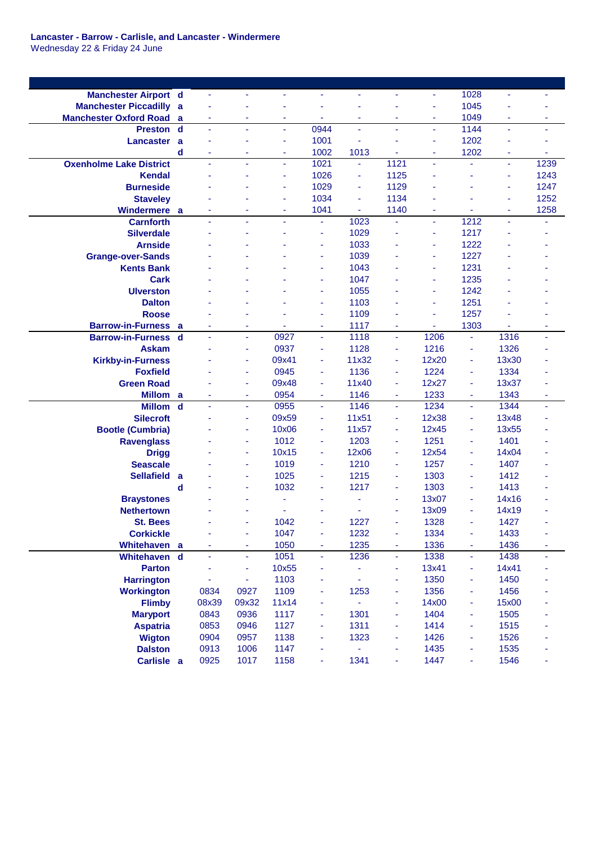**Lancaster - Barrow - Carlisle, and Lancaster - Windermere** Wednesday 22 & Friday 24 June

| <b>Manchester Airport d</b>    |             | $\blacksquare$ | ÷,             |                | Ξ              | ÷,             | ÷,             | Ξ     | 1028                     | $\blacksquare$ |      |
|--------------------------------|-------------|----------------|----------------|----------------|----------------|----------------|----------------|-------|--------------------------|----------------|------|
| <b>Manchester Piccadilly</b>   | a           |                |                |                |                |                |                | ä,    | 1045                     |                |      |
| <b>Manchester Oxford Road</b>  | a           | $\blacksquare$ | ٠              | ٠              | ٠              | ٠              | ٠              | ÷     | 1049                     | ٠              | ۰    |
| <b>Preston</b>                 | $\mathbf d$ | ä,             | ä,             | $\blacksquare$ | 0944           | ÷,             | ä,             | ä,    | 1144                     | $\blacksquare$ | ÷    |
| Lancaster                      | a           |                | ÷              | ٠              | 1001           |                |                | ÷     | 1202                     |                | ۰    |
|                                | d           | ٠              | ÷              | ۰              | 1002           | 1013           |                | ٠     | 1202                     | ٠              | ۰    |
| <b>Oxenholme Lake District</b> |             | ä,             | ä,             | ä,             | 1021           | ÷,             | 1121           | ä,    | ä,                       | $\blacksquare$ | 1239 |
| <b>Kendal</b>                  |             |                |                |                | 1026           | ÷              | 1125           | ä     |                          | $\blacksquare$ | 1243 |
| <b>Burneside</b>               |             |                |                | ä,             | 1029           | ÷              | 1129           |       |                          | $\blacksquare$ | 1247 |
| <b>Staveley</b>                |             |                |                | ٠              | 1034           | $\blacksquare$ | 1134           | ä,    |                          | $\sim$         | 1252 |
| Windermere a                   |             | ÷              | ٠              | ٠              | 1041           | ä,             | 1140           | ٠     | ÷                        | ٠              | 1258 |
| <b>Carnforth</b>               |             | ÷,             | $\blacksquare$ | ÷              | $\blacksquare$ | 1023           | ä,             | Ξ     | 1212                     | $\blacksquare$ |      |
| <b>Silverdale</b>              |             |                |                |                | Ξ              | 1029           |                | ÷     | 1217                     |                |      |
| <b>Arnside</b>                 |             |                |                |                | ä,             | 1033           |                | Ξ     | 1222                     |                |      |
| <b>Grange-over-Sands</b>       |             |                |                |                | ÷              | 1039           |                | ٠     | 1227                     |                |      |
| <b>Kents Bank</b>              |             |                |                |                | ٠              | 1043           |                | ٠     | 1231                     |                |      |
| <b>Cark</b>                    |             |                |                |                | ٠              | 1047           |                | Ξ     | 1235                     |                |      |
| <b>Ulverston</b>               |             |                |                |                | ÷              | 1055           |                | ۰     | 1242                     |                |      |
| <b>Dalton</b>                  |             |                |                |                | ÷              | 1103           |                | ۰     | 1251                     |                |      |
| <b>Roose</b>                   |             |                |                |                | ä,             | 1109           |                | ä,    | 1257                     |                |      |
| <b>Barrow-in-Furness</b>       | a           |                |                |                | ٠              | 1117           |                |       | 1303                     |                | ä,   |
| <b>Barrow-in-Furness</b>       | $\mathbf d$ |                | $\blacksquare$ | 0927           | ÷              | 1118           | ÷,             | 1206  | $\sim$                   | 1316           | ä,   |
| <b>Askam</b>                   |             |                | ٠              | 0937           | ä,             | 1128           | $\blacksquare$ | 1216  | ÷,                       | 1326           |      |
| <b>Kirkby-in-Furness</b>       |             |                | ٠              | 09x41          | ä,             | 11x32          | ÷              | 12x20 | $\overline{\phantom{a}}$ | 13x30          |      |
| <b>Foxfield</b>                |             |                | ٠              | 0945           | Ξ              | 1136           | ä,             | 1224  | ä,                       | 1334           |      |
| <b>Green Road</b>              |             |                | $\blacksquare$ | 09x48          | Ξ              | 11x40          | ÷              | 12x27 | ä,                       | 13x37          |      |
| Millom a                       |             |                | ä,             | 0954           | $\blacksquare$ | 1146           | ä,             | 1233  | ä,                       | 1343           | ÷    |
| <b>Millom</b>                  | $\mathbf d$ | ä,             | ٠              | 0955           | $\blacksquare$ | 1146           | ä,             | 1234  | $\blacksquare$           | 1344           | ä,   |
| <b>Silecroft</b>               |             |                | ٠              | 09x59          | ٠              | 11x51          | Ξ              | 12x38 | $\overline{\phantom{a}}$ | 13x48          |      |
| <b>Bootle (Cumbria)</b>        |             |                | ٠              | 10x06          | ä,             | 11x57          | Ξ              | 12x45 | $\blacksquare$           | 13x55          |      |
| <b>Ravenglass</b>              |             |                | ÷              | 1012           | ä,             | 1203           | ä,             | 1251  | ÷                        | 1401           |      |
| <b>Drigg</b>                   |             |                | ÷              | 10x15          | ä,             | 12x06          | ä,             | 12x54 | ×,                       | 14x04          |      |
| <b>Seascale</b>                |             |                | ÷              | 1019           | ä,             | 1210           | ä,             | 1257  | ÷,                       | 1407           |      |
| <b>Sellafield</b>              | a           |                | ÷              | 1025           | ÷              | 1215           | ÷              | 1303  | ÷                        | 1412           |      |
|                                | d           |                | ÷              | 1032           | ٠              | 1217           | ÷              | 1303  | $\sim$                   | 1413           |      |
| <b>Braystones</b>              |             |                | ٠              | ä,             | ÷,             | ä,             | ä,             | 13x07 | $\sim$                   | 14x16          |      |
| <b>Nethertown</b>              |             |                |                |                |                |                | ٠              | 13x09 | ä,                       | 14x19          |      |
| <b>St. Bees</b>                |             |                |                | 1042           | ä,             | 1227           |                | 1328  | ä,                       | 1427           |      |
| <b>Corkickle</b>               |             | ä,             | ÷              | 1047           | ÷              | 1232           | Ξ              | 1334  | $\blacksquare$           | 1433           | ÷    |
| Whitehaven a                   |             |                | ä,             | 1050           | Ξ              | 1235           | ä,             | 1336  | ä,                       | 1436           | ä,   |
| Whitehaven                     | $\mathbf d$ | ä,             | ÷              | 1051           | $\equiv$       | 1236           | ÷,             | 1338  | $\blacksquare$           | 1438           | ä,   |
| <b>Parton</b>                  |             |                | ÷              | 10x55          | ÷              |                | ÷              | 13x41 | ä,                       | 14x41          |      |
| <b>Harrington</b>              |             |                | ÷              | 1103           | ÷,             |                | Ξ              | 1350  | ÷                        | 1450           |      |
| <b>Workington</b>              |             | 0834           | 0927           | 1109           | ٠              | 1253           | Ξ              | 1356  | ÷                        | 1456           |      |
| <b>Flimby</b>                  |             | 08x39          | 09x32          | 11x14          | ÷,             |                | ä,             | 14x00 | $\blacksquare$           | 15x00          |      |
|                                |             | 0843           | 0936           | 1117           | ä,             | 1301           | ä,             | 1404  | ÷                        | 1505           |      |
| <b>Maryport</b>                |             |                | 0946           | 1127           | Ξ              | 1311           | ä,             |       |                          |                |      |
| <b>Aspatria</b>                |             | 0853           |                | 1138           |                |                | ä,             | 1414  | $\blacksquare$           | 1515           |      |
| <b>Wigton</b>                  |             | 0904           | 0957           | 1147           | ä,             | 1323           | ä,             | 1426  | $\blacksquare$           | 1526           |      |
| <b>Dalston</b>                 |             | 0913           | 1006           |                | ä,             | ä,             |                | 1435  | $\blacksquare$           | 1535           | ä,   |
| Carlisle a                     |             | 0925           | 1017           | 1158           | Ξ              | 1341           | ÷              | 1447  | $\blacksquare$           | 1546           | ٠    |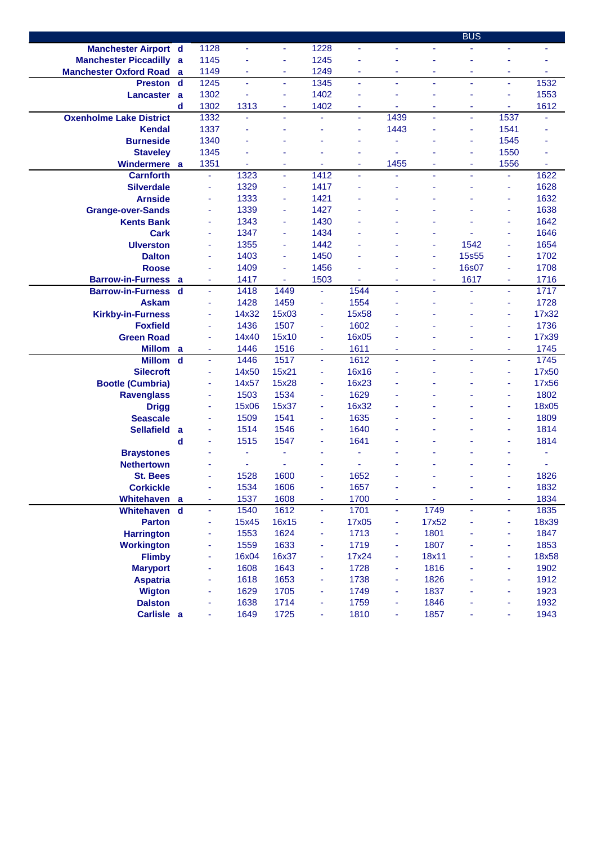|                                |             |                |                |                          |                |                          |      |       | <b>BUS</b>     |                          |       |
|--------------------------------|-------------|----------------|----------------|--------------------------|----------------|--------------------------|------|-------|----------------|--------------------------|-------|
| <b>Manchester Airport d</b>    |             | 1128           | ÷,             | ÷.                       | 1228           | ä,                       | ÷,   | Ξ     |                | ÷.                       |       |
| <b>Manchester Piccadilly a</b> |             | 1145           |                | ä,                       | 1245           |                          |      | ä,    |                |                          |       |
| <b>Manchester Oxford Road</b>  | a           | 1149           | ٠              | ٠                        | 1249           | $\overline{\phantom{a}}$ | ÷    | ä,    | ÷              | ٠                        | ٠     |
| <b>Preston</b>                 | $\mathbf d$ | 1245           | ä,             | $\overline{\phantom{a}}$ | 1345           | $\omega$                 | ٠    | ä,    | $\blacksquare$ | ÷,                       | 1532  |
| <b>Lancaster</b>               | a           | 1302           |                | ä,                       | 1402           | ٠                        |      | ٠     |                | $\blacksquare$           | 1553  |
|                                | d           | 1302           | 1313           | ٠                        | 1402           | ٠                        |      | ٠     | ٠              | ٠                        | 1612  |
| <b>Oxenholme Lake District</b> |             | 1332           | ä,             | $\sim$                   | ä,             | $\overline{\phantom{a}}$ | 1439 | ä,    | $\blacksquare$ | 1537                     |       |
| <b>Kendal</b>                  |             | 1337           | ä,             |                          |                | ä,                       | 1443 | ä,    | ä,             | 1541                     |       |
| <b>Burneside</b>               |             | 1340           |                |                          |                |                          |      |       | ä,             | 1545                     |       |
| <b>Staveley</b>                |             | 1345           |                |                          |                |                          |      |       | ٠              | 1550                     |       |
| Windermere                     | a           | 1351           | $\blacksquare$ | ٠                        | $\blacksquare$ | ÷                        | 1455 | ٠     | ÷              | 1556                     | ä,    |
| <b>Carnforth</b>               |             | ä,             | 1323           | $\blacksquare$           | 1412           | ä,                       |      | ä,    | ä,             | ÷,                       | 1622  |
| <b>Silverdale</b>              |             | $\blacksquare$ | 1329           | $\overline{\phantom{a}}$ | 1417           | ٠                        |      | ä,    |                | ÷                        | 1628  |
| <b>Arnside</b>                 |             | ä,             | 1333           | ÷                        | 1421           |                          |      |       |                | $\blacksquare$           | 1632  |
| <b>Grange-over-Sands</b>       |             | ä,             | 1339           | ä,                       | 1427           |                          |      |       |                | ٠                        | 1638  |
| <b>Kents Bank</b>              |             | ä,             | 1343           | ä,                       | 1430           |                          |      |       |                | $\blacksquare$           | 1642  |
| <b>Cark</b>                    |             | ä,             | 1347           | ä,                       | 1434           |                          |      |       |                | $\blacksquare$           | 1646  |
| <b>Ulverston</b>               |             | ä,             | 1355           | $\sim$                   | 1442           |                          |      | ٠     | 1542           | $\blacksquare$           | 1654  |
| <b>Dalton</b>                  |             | ä,             | 1403           | ٠                        | 1450           |                          |      | ÷     | <b>15s55</b>   | ٠                        | 1702  |
| <b>Roose</b>                   |             | ä,             | 1409           | ä,                       | 1456           |                          |      | ÷     | <b>16s07</b>   | ٠                        | 1708  |
| <b>Barrow-in-Furness</b>       | a           | ä,             | 1417           |                          | 1503           |                          |      | ÷     | 1617           | ÷                        | 1716  |
| <b>Barrow-in-Furness</b>       | $\mathbf d$ | ä,             | 1418           | 1449                     | $\blacksquare$ | 1544                     |      | ä,    |                | $\blacksquare$           | 1717  |
| <b>Askam</b>                   |             | ÷,             | 1428           | 1459                     | ä,             | 1554                     |      |       |                | $\overline{\phantom{a}}$ | 1728  |
| <b>Kirkby-in-Furness</b>       |             | ÷              | 14x32          | 15x03                    | $\blacksquare$ | 15x58                    |      |       |                | ٠                        | 17x32 |
| <b>Foxfield</b>                |             |                | 1436           | 1507                     | ä,             | 1602                     |      |       |                | ٠                        | 1736  |
| <b>Green Road</b>              |             | $\blacksquare$ | 14x40          | 15x10                    | ä,             | 16x05                    |      |       |                | $\blacksquare$           | 17x39 |
| <b>Millom</b>                  | a           | ÷,             | 1446           | 1516                     | ÷,             | 1611                     |      | ä,    | ä,             | $\blacksquare$           | 1745  |
| <b>Millom</b>                  | $\mathbf d$ | ä,             | 1446           | 1517                     | ÷.             | 1612                     | ä,   | ä,    | ä,             | $\omega$                 | 1745  |
| <b>Silecroft</b>               |             | $\blacksquare$ | 14x50          | 15x21                    | ٠              | 16x16                    |      | ä,    |                | Ξ                        | 17x50 |
| <b>Bootle (Cumbria)</b>        |             | ä,             | 14x57          | 15x28                    | ä,             | 16x23                    |      |       |                | ٠                        | 17x56 |
| <b>Ravenglass</b>              |             | ä,             | 1503           | 1534                     | ä,             | 1629                     |      |       |                | ٠                        | 1802  |
| <b>Drigg</b>                   |             | ÷              | 15x06          | 15x37                    | ٠              | 16x32                    |      |       |                | ÷                        | 18x05 |
| <b>Seascale</b>                |             | ä,             | 1509           | 1541                     | ä,             | 1635                     |      |       |                | ÷                        | 1809  |
| <b>Sellafield</b>              | a           |                | 1514           | 1546                     | ä,             | 1640                     |      |       |                |                          | 1814  |
|                                | d           |                | 1515           | 1547                     | ٠              | 1641                     |      |       |                |                          | 1814  |
| <b>Braystones</b>              |             |                | ٠              |                          |                |                          |      |       |                |                          |       |
| <b>Nethertown</b>              |             |                |                |                          |                |                          |      |       |                |                          |       |
| <b>St. Bees</b>                |             |                | 1528           | 1600                     |                | 1652                     |      |       |                |                          | 1826  |
| <b>Corkickle</b>               |             | $\blacksquare$ | 1534           | 1606                     | ä,             | 1657                     | ÷    | ä,    |                | Ξ                        | 1832  |
| Whitehaven a                   |             | ä,             | 1537           | 1608                     | $\blacksquare$ | 1700                     | ä,   |       |                | ÷                        | 1834  |
| Whitehaven                     | $\mathbf d$ | ä,             | 1540           | 1612                     | ÷.             | 1701                     | ä,   | 1749  | ä,             | ÷.                       | 1835  |
| <b>Parton</b>                  |             | ÷              | 15x45          | 16x15                    | ÷              | 17x05                    | Ξ    | 17x52 |                | ٠                        | 18x39 |
| <b>Harrington</b>              |             | ÷              | 1553           | 1624                     | ٠              | 1713                     | Ξ    | 1801  |                | ٠                        | 1847  |
| <b>Workington</b>              |             | ÷              | 1559           | 1633                     | ٠              | 1719                     | Ξ    | 1807  |                | ٠                        | 1853  |
| <b>Flimby</b>                  |             | ÷              | 16x04          | 16x37                    | ٠              | 17x24                    | Ξ    | 18x11 |                | ٠                        | 18x58 |
| <b>Maryport</b>                |             | ÷              | 1608           | 1643                     | ä,             | 1728                     | Ξ    | 1816  |                | ä,                       | 1902  |
| <b>Aspatria</b>                |             | ٠              | 1618           | 1653                     | ä,             | 1738                     | Ξ    | 1826  |                | ä,                       | 1912  |
| <b>Wigton</b>                  |             | ٠              | 1629           | 1705                     | ä,             | 1749                     | Ξ    | 1837  |                | $\blacksquare$           | 1923  |
| <b>Dalston</b>                 |             |                | 1638           | 1714                     | ä,             | 1759                     | Ξ    | 1846  |                | $\blacksquare$           | 1932  |
| Carlisle a                     |             | ÷              | 1649           | 1725                     | ٠              | 1810                     | Ξ    | 1857  | ٠              |                          | 1943  |
|                                |             |                |                |                          |                |                          |      |       |                |                          |       |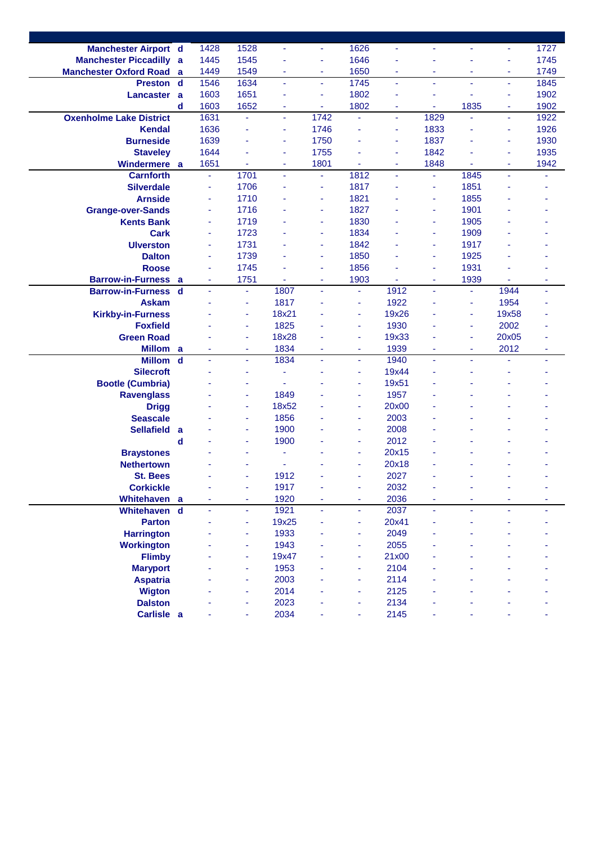| <b>Manchester Airport d</b>        |             | 1428 | 1528                     |                | ٠    | 1626           | $\blacksquare$ | ÷    |                | ÷              | 1727 |
|------------------------------------|-------------|------|--------------------------|----------------|------|----------------|----------------|------|----------------|----------------|------|
| <b>Manchester Piccadilly</b>       | a           | 1445 | 1545                     |                | ä,   | 1646           |                | ä    |                | $\blacksquare$ | 1745 |
| <b>Manchester Oxford Road</b>      | a           | 1449 | 1549                     | ٠              | ٠    | 1650           | $\blacksquare$ | ٠    | ٠              | $\blacksquare$ | 1749 |
| <b>Preston</b>                     | $\mathbf d$ | 1546 | 1634                     | ÷.             | ÷.   | 1745           | $\blacksquare$ | ä,   | ä,             | ÷,             | 1845 |
| <b>Lancaster</b>                   | a           | 1603 | 1651                     |                | ٠    | 1802           | ÷              | ٠    | ä,             | ä,             | 1902 |
|                                    | d           | 1603 | 1652                     |                | Ξ    | 1802           |                | ÷    | 1835           | ÷              | 1902 |
| <b>Oxenholme Lake District</b>     |             | 1631 | $\blacksquare$           | ÷.             | 1742 | ä,             | ä,             | 1829 |                | $\omega$       | 1922 |
| <b>Kendal</b>                      |             | 1636 | ÷                        |                | 1746 | ÷              | ٠              | 1833 |                | Ξ              | 1926 |
| <b>Burneside</b>                   |             | 1639 | $\blacksquare$           | ٠              | 1750 | ٠              | $\blacksquare$ | 1837 |                | $\blacksquare$ | 1930 |
| <b>Staveley</b>                    |             | 1644 | ÷,                       | $\blacksquare$ | 1755 |                | ÷,             | 1842 |                | ä,             | 1935 |
| Windermere a                       |             | 1651 |                          | ٠              | 1801 |                | ×              | 1848 |                | ÷              | 1942 |
| <b>Carnforth</b>                   |             | ä    | 1701                     |                | ä,   | 1812           |                | ÷,   | 1845           | ÷              |      |
| <b>Silverdale</b>                  |             | ä,   | 1706                     |                | ä,   | 1817           |                |      | 1851           |                |      |
|                                    |             |      |                          |                |      |                |                | ÷    |                |                |      |
| <b>Arnside</b>                     |             | ä,   | 1710                     |                | ÷    | 1821           |                | ÷    | 1855           |                |      |
| <b>Grange-over-Sands</b>           |             | ٠    | 1716                     |                | ٠    | 1827           |                | ٠    | 1901           |                |      |
| <b>Kents Bank</b>                  |             | ä,   | 1719                     |                | ä,   | 1830           |                | ٠    | 1905           |                |      |
| <b>Cark</b>                        |             | ä,   | 1723                     |                | ä,   | 1834           |                | ä,   | 1909           |                |      |
| <b>Ulverston</b>                   |             | ä,   | 1731                     |                | ä,   | 1842           |                | ٠    | 1917           |                |      |
| <b>Dalton</b>                      |             | ä,   | 1739                     |                | ä,   | 1850           |                | Ξ    | 1925           |                |      |
| <b>Roose</b>                       |             | í,   | 1745                     |                | ä,   | 1856           |                | ä,   | 1931           |                |      |
| <b>Barrow-in-Furness</b>           | a           | ÷    | 1751                     |                | ٠    | 1903           | $\blacksquare$ | ÷    | 1939           | $\blacksquare$ | ÷    |
| <b>Barrow-in-Furness</b>           | d           | ä,   | $\blacksquare$           | 1807           | ÷.   | $\blacksquare$ | 1912           | ä,   | $\blacksquare$ | 1944           | ٠    |
| <b>Askam</b>                       |             |      | ÷                        | 1817           | ä,   | ٠              | 1922           | ä,   | ÷              | 1954           |      |
| <b>Kirkby-in-Furness</b>           |             |      | $\overline{\phantom{a}}$ | 18x21          |      | ÷              | 19x26          |      | ä,             | 19x58          |      |
| <b>Foxfield</b>                    |             |      | ٠                        | 1825           |      | ۰              | 1930           | ٠    | ÷              | 2002           |      |
| <b>Green Road</b>                  |             |      | ÷                        | 18x28          |      | ä              | 19x33          |      | ä,             | 20x05          |      |
| <b>Millom</b>                      | a           |      | ٠                        | 1834           | ٠    | ٠              | 1939           | ٠    | ٠              | 2012           | ٠    |
| <b>Millom</b>                      | $\mathbf d$ | ä    | $\blacksquare$           | 1834           | ä,   | $\blacksquare$ | 1940           | ÷.   | ä,             | ä,             | ٠    |
| <b>Silecroft</b>                   |             |      | $\blacksquare$           | ٠              |      | $\blacksquare$ | 19x44          | ä,   |                |                |      |
| <b>Bootle (Cumbria)</b>            |             |      | ٠                        |                |      | ä              | 19x51          |      |                |                |      |
| <b>Ravenglass</b>                  |             |      | ٠                        | 1849           |      | ٠              | 1957           |      |                |                |      |
| <b>Drigg</b>                       |             |      | $\overline{\phantom{a}}$ | 18x52          |      | ä              | 20x00          |      |                |                |      |
| <b>Seascale</b>                    |             |      | ٠                        | 1856           |      | ä              | 2003           |      |                |                |      |
| <b>Sellafield</b>                  | a           |      | ٠                        | 1900           |      | ٠              | 2008           |      |                |                |      |
|                                    | d           |      | ٠                        | 1900           |      | ٠              | 2012           |      |                |                |      |
| <b>Braystones</b>                  |             |      |                          |                |      | ٠              | 20x15          |      |                |                |      |
| <b>Nethertown</b>                  |             |      |                          |                |      | ä              | 20x18          |      |                |                |      |
| <b>St. Bees</b>                    |             |      |                          | 1912           |      |                | 2027           |      |                |                |      |
| <b>Corkickle</b>                   |             |      |                          | 1917           |      |                | 2032           |      |                |                |      |
| Whitehaven a                       |             |      | ÷                        | 1920           | ä,   | ۰              | 2036           | ÷    |                |                |      |
| Whitehaven                         | $\mathbf d$ |      | $\blacksquare$           | 1921           | ä,   | ä,             | 2037           | ä,   |                |                |      |
| <b>Parton</b>                      |             |      | $\overline{\phantom{a}}$ | 19x25          |      | $\blacksquare$ | 20x41          |      |                |                |      |
|                                    |             |      | $\blacksquare$           | 1933           |      | ä              | 2049           |      |                |                |      |
| <b>Harrington</b>                  |             |      |                          | 1943           |      |                | 2055           |      |                |                |      |
| <b>Workington</b><br><b>Flimby</b> |             |      | ٠                        |                |      | $\blacksquare$ | 21x00          |      |                |                |      |
|                                    |             |      | ä,                       | 19x47          |      | ä,             |                |      |                |                |      |
| <b>Maryport</b>                    |             |      | ٠                        | 1953           |      | ÷              | 2104           |      |                |                |      |
| <b>Aspatria</b>                    |             |      | ٠                        | 2003           |      | ٠              | 2114           |      |                |                |      |
| <b>Wigton</b>                      |             |      | $\sim$                   | 2014           |      | ٠              | 2125           |      |                |                |      |
| <b>Dalston</b>                     |             |      | ä,                       | 2023           |      | ÷              | 2134           |      |                |                |      |
| Carlisle a                         |             |      |                          | 2034           |      |                | 2145           |      |                |                |      |